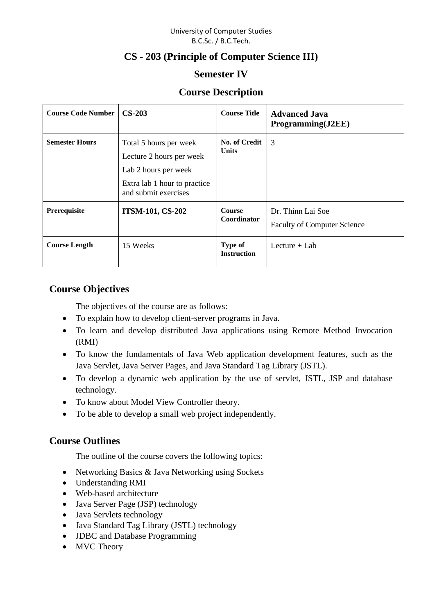#### University of Computer Studies B.C.Sc. / B.C.Tech.

# **CS - 203 (Principle of Computer Science III)**

## **Semester IV**

## **Course Description**

| <b>Course Code Number  </b> | $CS-203$                                                                                                                           | <b>Course Title</b>                  | <b>Advanced Java</b><br>Programming(J2EE)               |
|-----------------------------|------------------------------------------------------------------------------------------------------------------------------------|--------------------------------------|---------------------------------------------------------|
| <b>Semester Hours</b>       | Total 5 hours per week<br>Lecture 2 hours per week<br>Lab 2 hours per week<br>Extra lab 1 hour to practice<br>and submit exercises | No. of Credit<br><b>Units</b>        | 3                                                       |
| Prerequisite                | <b>ITSM-101, CS-202</b>                                                                                                            | <b>Course</b><br><b>Coordinator</b>  | Dr. Thinn Lai Soe<br><b>Faculty of Computer Science</b> |
| <b>Course Length</b>        | 15 Weeks                                                                                                                           | <b>Type of</b><br><b>Instruction</b> | Lecture $+$ Lab                                         |

## **Course Objectives**

The objectives of the course are as follows:

- To explain how to develop client-server programs in Java.
- To learn and develop distributed Java applications using Remote Method Invocation (RMI)
- To know the fundamentals of Java Web application development features, such as the Java Servlet, Java Server Pages, and Java Standard Tag Library (JSTL).
- To develop a dynamic web application by the use of servlet, JSTL, JSP and database technology.
- To know about Model View Controller theory.
- To be able to develop a small web project independently.

## **Course Outlines**

The outline of the course covers the following topics:

- Networking Basics & Java Networking using Sockets
- Understanding RMI
- Web-based architecture
- Java Server Page (JSP) technology
- Java Servlets technology
- Java Standard Tag Library (JSTL) technology
- JDBC and Database Programming
- MVC Theory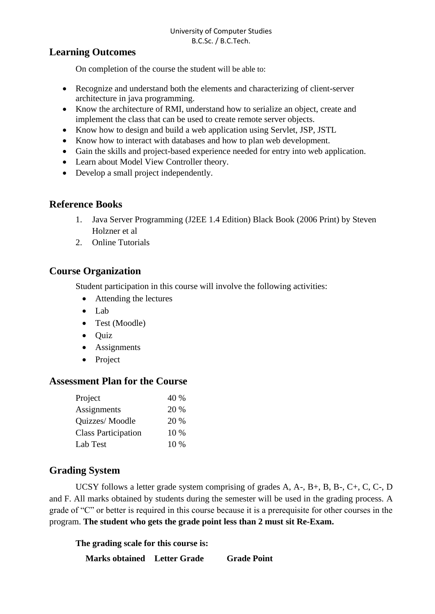## **Learning Outcomes**

On completion of the course the student will be able to:

- Recognize and understand both the elements and characterizing of client-server architecture in java programming.
- Know the architecture of RMI, understand how to serialize an object, create and implement the class that can be used to create remote server objects.
- Know how to design and build a web application using Servlet, JSP, JSTL
- Know how to interact with databases and how to plan web development.
- Gain the skills and project-based experience needed for entry into web application.
- Learn about Model View Controller theory.
- Develop a small project independently.

## **Reference Books**

- 1. Java Server Programming (J2EE 1.4 Edition) Black Book (2006 Print) by Steven Holzner et al
- 2. Online Tutorials

## **Course Organization**

Student participation in this course will involve the following activities:

- Attending the lectures
- Lab
- Test (Moodle)
- Quiz
- Assignments
- Project

## **Assessment Plan for the Course**

| Project                    | 40 %   |
|----------------------------|--------|
| Assignments                | 20 %   |
| Quizzes/Moodle             | 20 %   |
| <b>Class Participation</b> | 10 %   |
| Lab Test                   | $10\%$ |

## **Grading System**

UCSY follows a letter grade system comprising of grades A, A-, B+, B, B-, C+, C, C-, D and F. All marks obtained by students during the semester will be used in the grading process. A grade of "C" or better is required in this course because it is a prerequisite for other courses in the program. **The student who gets the grade point less than 2 must sit Re-Exam.**

**The grading scale for this course is:** 

**Marks obtained Letter Grade Grade Point**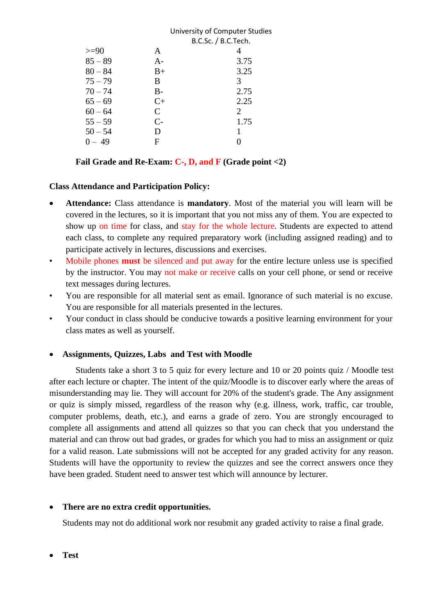|           |              | University of Computer Studies |  |
|-----------|--------------|--------------------------------|--|
|           |              | B.C.Sc. / B.C.Tech.            |  |
| $>=$ 90   | A            | 4                              |  |
| $85 - 89$ | $A -$        | 3.75                           |  |
| $80 - 84$ | $B+$         | 3.25                           |  |
| $75 - 79$ | B            | 3                              |  |
| $70 - 74$ | $B-$         | 2.75                           |  |
| $65 - 69$ | $C+$         | 2.25                           |  |
| $60 - 64$ | $\mathsf{C}$ | 2                              |  |
| $55 - 59$ | $C-$         | 1.75                           |  |
| $50 - 54$ | D            | 1                              |  |
| $0 - 49$  | F            |                                |  |
|           |              |                                |  |

#### **Fail Grade and Re-Exam: C-, D, and F (Grade point <2)**

#### **Class Attendance and Participation Policy:**

- **Attendance:** Class attendance is **mandatory**. Most of the material you will learn will be covered in the lectures, so it is important that you not miss any of them. You are expected to show up on time for class, and stay for the whole lecture. Students are expected to attend each class, to complete any required preparatory work (including assigned reading) and to participate actively in lectures, discussions and exercises.
- Mobile phones **must** be silenced and put away for the entire lecture unless use is specified by the instructor. You may not make or receive calls on your cell phone, or send or receive text messages during lectures.
- You are responsible for all material sent as email. Ignorance of such material is no excuse. You are responsible for all materials presented in the lectures.
- Your conduct in class should be conducive towards a positive learning environment for your class mates as well as yourself.

#### • **Assignments, Quizzes, Labs and Test with Moodle**

Students take a short 3 to 5 quiz for every lecture and 10 or 20 points quiz / Moodle test after each lecture or chapter. The intent of the quiz/Moodle is to discover early where the areas of misunderstanding may lie. They will account for 20% of the student's grade. The Any assignment or quiz is simply missed, regardless of the reason why (e.g. illness, work, traffic, car trouble, computer problems, death, etc.), and earns a grade of zero. You are strongly encouraged to complete all assignments and attend all quizzes so that you can check that you understand the material and can throw out bad grades, or grades for which you had to miss an assignment or quiz for a valid reason. Late submissions will not be accepted for any graded activity for any reason. Students will have the opportunity to review the quizzes and see the correct answers once they have been graded. Student need to answer test which will announce by lecturer.

#### • **There are no extra credit opportunities.**

Students may not do additional work nor resubmit any graded activity to raise a final grade.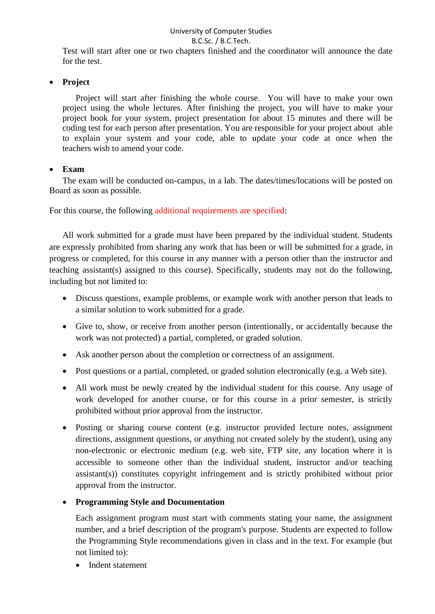#### University of Computer Studies B.C.Sc. / B.C.Tech.

Test will start after one or two chapters finished and the coordinator will announce the date for the test.

### • **Project**

Project will start after finishing the whole course. You will have to make your own project using the whole lectures. After finishing the project, you will have to make your project book for your system, project presentation for about 15 minutes and there will be coding test for each person after presentation. You are responsible for your project about able to explain your system and your code, able to update your code at once when the teachers wish to amend your code.

#### • **Exam**

The exam will be conducted on-campus, in a lab. The dates/times/locations will be posted on Board as soon as possible.

For this course, the following additional requirements are specified:

All work submitted for a grade must have been prepared by the individual student. Students are expressly prohibited from sharing any work that has been or will be submitted for a grade, in progress or completed, for this course in any manner with a person other than the instructor and teaching assistant(s) assigned to this course). Specifically, students may not do the following, including but not limited to:

- Discuss questions, example problems, or example work with another person that leads to a similar solution to work submitted for a grade.
- Give to, show, or receive from another person (intentionally, or accidentally because the work was not protected) a partial, completed, or graded solution.
- Ask another person about the completion or correctness of an assignment.
- Post questions or a partial, completed, or graded solution electronically (e.g. a Web site).
- All work must be newly created by the individual student for this course. Any usage of work developed for another course, or for this course in a prior semester, is strictly prohibited without prior approval from the instructor.
- Posting or sharing course content (e.g. instructor provided lecture notes, assignment directions, assignment questions, or anything not created solely by the student), using any non-electronic or electronic medium (e.g. web site, FTP site, any location where it is accessible to someone other than the individual student, instructor and/or teaching assistant(s)) constitutes copyright infringement and is strictly prohibited without prior approval from the instructor.

#### • **Programming Style and Documentation**

Each assignment program must start with comments stating your name, the assignment number, and a brief description of the program's purpose. Students are expected to follow the Programming Style recommendations given in class and in the text. For example (but not limited to):

• Indent statement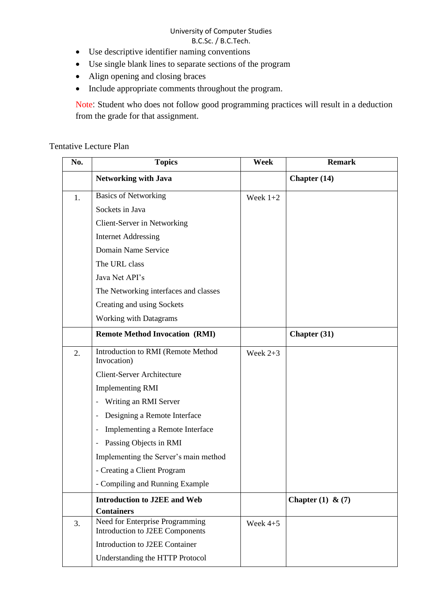# University of Computer Studies

## B.C.Sc. / B.C.Tech.

- Use descriptive identifier naming conventions
- Use single blank lines to separate sections of the program
- Align opening and closing braces
- Include appropriate comments throughout the program.

Note: Student who does not follow good programming practices will result in a deduction from the grade for that assignment.

## Tentative Lecture Plan

| No. | <b>Topics</b>                                                      | Week       | <b>Remark</b>         |
|-----|--------------------------------------------------------------------|------------|-----------------------|
|     | <b>Networking with Java</b>                                        |            | Chapter (14)          |
| 1.  | <b>Basics of Networking</b>                                        | Week $1+2$ |                       |
|     | Sockets in Java                                                    |            |                       |
|     | Client-Server in Networking                                        |            |                       |
|     | <b>Internet Addressing</b>                                         |            |                       |
|     | Domain Name Service                                                |            |                       |
|     | The URL class                                                      |            |                       |
|     | Java Net API's                                                     |            |                       |
|     | The Networking interfaces and classes                              |            |                       |
|     | Creating and using Sockets                                         |            |                       |
|     | <b>Working with Datagrams</b>                                      |            |                       |
|     | <b>Remote Method Invocation (RMI)</b>                              |            | Chapter (31)          |
| 2.  | Introduction to RMI (Remote Method<br>Invocation)                  | Week $2+3$ |                       |
|     | <b>Client-Server Architecture</b>                                  |            |                       |
|     | <b>Implementing RMI</b>                                            |            |                       |
|     | Writing an RMI Server                                              |            |                       |
|     | Designing a Remote Interface                                       |            |                       |
|     | Implementing a Remote Interface                                    |            |                       |
|     | Passing Objects in RMI                                             |            |                       |
|     | Implementing the Server's main method                              |            |                       |
|     | - Creating a Client Program                                        |            |                       |
|     | - Compiling and Running Example                                    |            |                       |
|     | <b>Introduction to J2EE and Web</b>                                |            | Chapter $(1)$ & $(7)$ |
|     | <b>Containers</b>                                                  |            |                       |
| 3.  | Need for Enterprise Programming<br>Introduction to J2EE Components | Week $4+5$ |                       |
|     | Introduction to J2EE Container                                     |            |                       |
|     | Understanding the HTTP Protocol                                    |            |                       |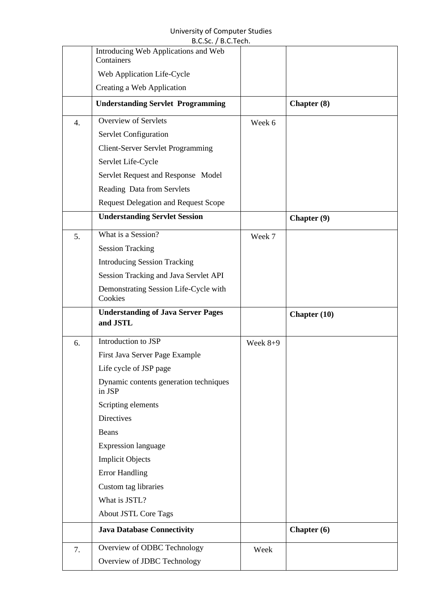#### University of Computer Studies B.C.Sc. / B.C.Tech.

|    | B.C.SC. / B.C. TECH.                                  |            |                     |
|----|-------------------------------------------------------|------------|---------------------|
|    | Introducing Web Applications and Web<br>Containers    |            |                     |
|    | Web Application Life-Cycle                            |            |                     |
|    | Creating a Web Application                            |            |                     |
|    | <b>Understanding Servlet Programming</b>              |            | Chapter (8)         |
| 4. | <b>Overview of Servlets</b>                           | Week 6     |                     |
|    | Servlet Configuration                                 |            |                     |
|    | <b>Client-Server Servlet Programming</b>              |            |                     |
|    | Servlet Life-Cycle                                    |            |                     |
|    | Servlet Request and Response Model                    |            |                     |
|    | Reading Data from Servlets                            |            |                     |
|    | <b>Request Delegation and Request Scope</b>           |            |                     |
|    | <b>Understanding Servlet Session</b>                  |            | Chapter (9)         |
| 5. | What is a Session?                                    | Week 7     |                     |
|    | <b>Session Tracking</b>                               |            |                     |
|    | <b>Introducing Session Tracking</b>                   |            |                     |
|    | Session Tracking and Java Servlet API                 |            |                     |
|    | Demonstrating Session Life-Cycle with<br>Cookies      |            |                     |
|    |                                                       |            |                     |
|    | <b>Understanding of Java Server Pages</b><br>and JSTL |            | <b>Chapter</b> (10) |
| 6. | Introduction to JSP                                   | Week $8+9$ |                     |
|    | First Java Server Page Example                        |            |                     |
|    | Life cycle of JSP page                                |            |                     |
|    | Dynamic contents generation techniques<br>in JSP      |            |                     |
|    | Scripting elements                                    |            |                     |
|    | <b>Directives</b>                                     |            |                     |
|    | Beans                                                 |            |                     |
|    | <b>Expression language</b>                            |            |                     |
|    | <b>Implicit Objects</b>                               |            |                     |
|    | <b>Error Handling</b>                                 |            |                     |
|    | Custom tag libraries                                  |            |                     |
|    | What is JSTL?                                         |            |                     |
|    | <b>About JSTL Core Tags</b>                           |            |                     |
|    | <b>Java Database Connectivity</b>                     |            | Chapter (6)         |
| 7. | Overview of ODBC Technology                           | Week       |                     |